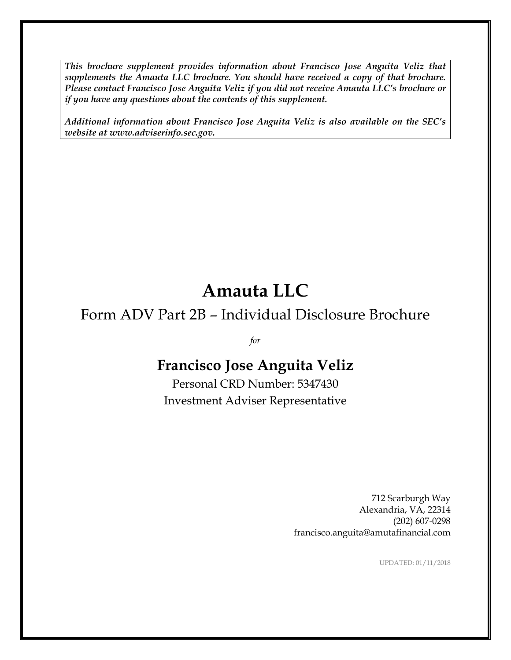*This brochure supplement provides information about Francisco Jose Anguita Veliz that supplements the Amauta LLC brochure. You should have received a copy of that brochure. Please contact Francisco Jose Anguita Veliz if you did not receive Amauta LLC's brochure or if you have any questions about the contents of this supplement.*

*Additional information about Francisco Jose Anguita Veliz is also available on the SEC's website at www.adviserinfo.sec.gov.*

# **Amauta LLC**

# Form ADV Part 2B – Individual Disclosure Brochure

*for*

# **Francisco Jose Anguita Veliz**

Personal CRD Number: 5347430 Investment Adviser Representative

> 712 Scarburgh Way Alexandria, VA, 22314 (202) 607-0298 francisco.anguita@amutafinancial.com

> > UPDATED: 01/11/2018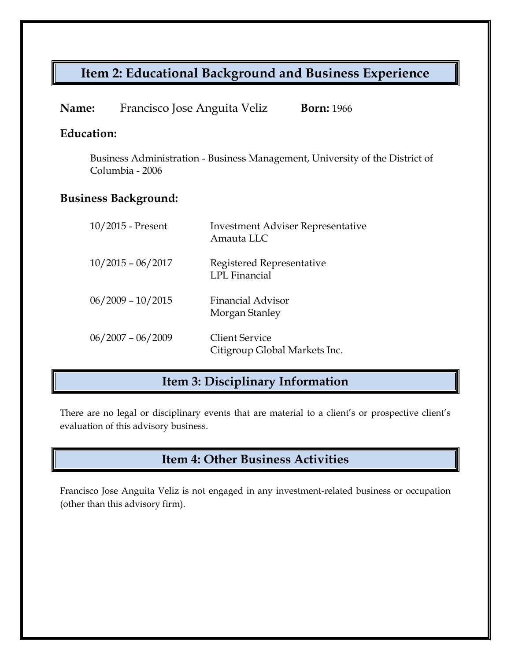# **Item 2: Educational Background and Business Experience**

| Name: | Francisco Jose Anguita Veliz | <b>Born:</b> 1966 |
|-------|------------------------------|-------------------|
|-------|------------------------------|-------------------|

### **Education:**

Business Administration - Business Management, University of the District of Columbia - 2006

### **Business Background:**

| 10/2015 - Present   | <b>Investment Adviser Representative</b><br>Amauta LLC |
|---------------------|--------------------------------------------------------|
| $10/2015 - 06/2017$ | Registered Representative<br>LPL Financial             |
| $06/2009 - 10/2015$ | Financial Advisor<br>Morgan Stanley                    |
| $06/2007 - 06/2009$ | <b>Client Service</b><br>Citigroup Global Markets Inc. |

### **Item 3: Disciplinary Information**

There are no legal or disciplinary events that are material to a client's or prospective client's evaluation of this advisory business.

## **Item 4: Other Business Activities**

Francisco Jose Anguita Veliz is not engaged in any investment-related business or occupation (other than this advisory firm).